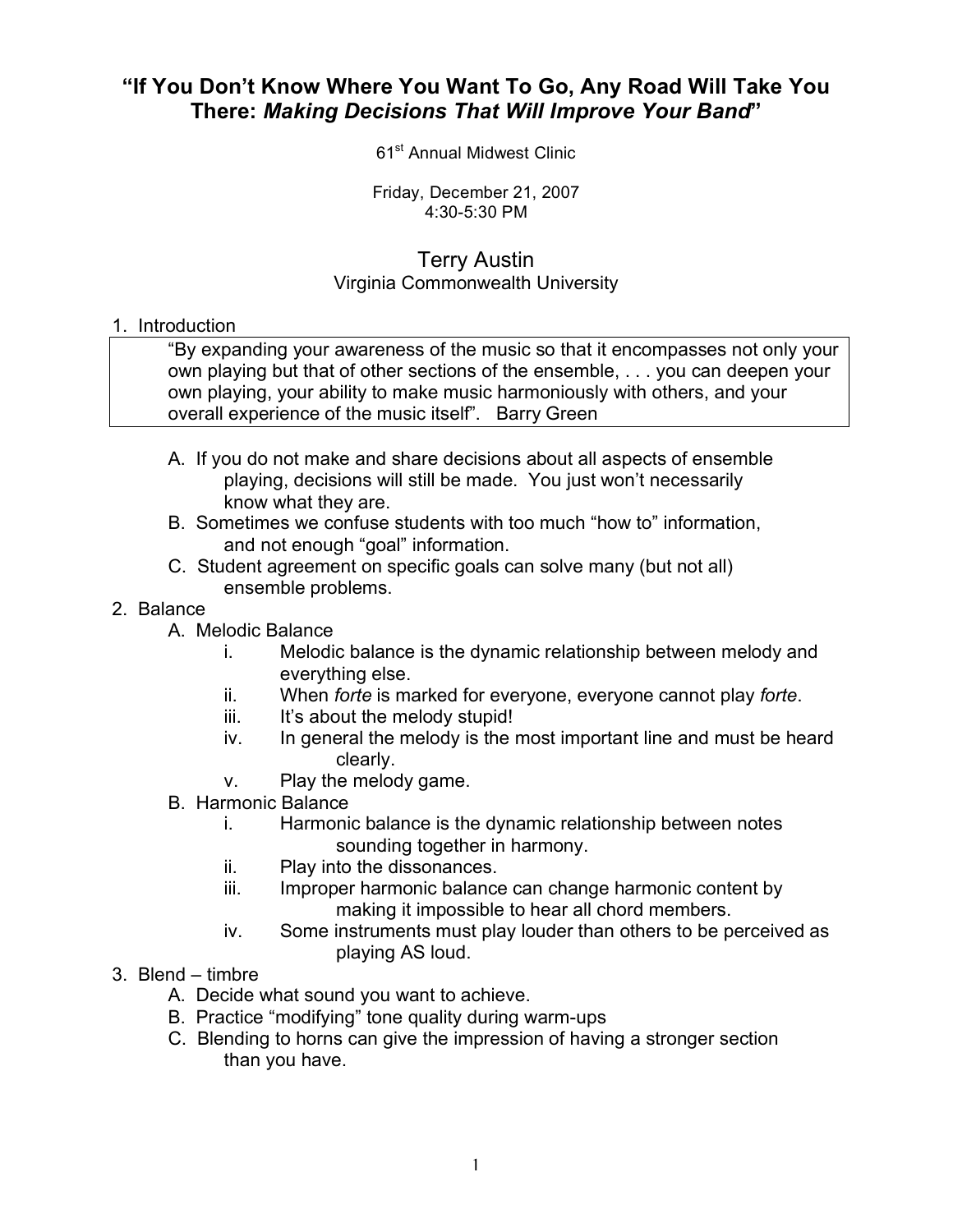## **"If You Don't Know Where You Want To Go, Any Road Will Take You There:** *Making Decisions That Will Improve Your Band***"**

61<sup>st</sup> Annual Midwest Clinic

Friday, December 21, 2007 4:30-5:30 PM

## Terry Austin Virginia Commonwealth University

## 1. Introduction

"By expanding your awareness of the music so that it encompasses not only your own playing but that of other sections of the ensemble, . . . you can deepen your own playing, your ability to make music harmoniously with others, and your overall experience of the music itself". Barry Green

- A. If you do not make and share decisions about all aspects of ensemble playing, decisions will still be made. You just won't necessarily know what they are.
- B. Sometimes we confuse students with too much "how to" information, and not enough "goal" information.
- C. Student agreement on specific goals can solve many (but not all) ensemble problems.
- 2. Balance
	- A. Melodic Balance
		- i. Melodic balance is the dynamic relationship between melody and everything else.
		- ii. When *forte* is marked for everyone, everyone cannot play *forte*.
		- iii. It's about the melody stupid!
		- iv. In general the melody is the most important line and must be heard clearly.
		- v. Play the melody game.
	- B. Harmonic Balance
		- i. Harmonic balance is the dynamic relationship between notes sounding together in harmony.
		- ii. Play into the dissonances.
		- iii. Improper harmonic balance can change harmonic content by making it impossible to hear all chord members.
		- iv. Some instruments must play louder than others to be perceived as playing AS loud.
- 3. Blend timbre
	- A. Decide what sound you want to achieve.
	- B. Practice "modifying" tone quality during warm-ups
	- C. Blending to horns can give the impression of having a stronger section than you have.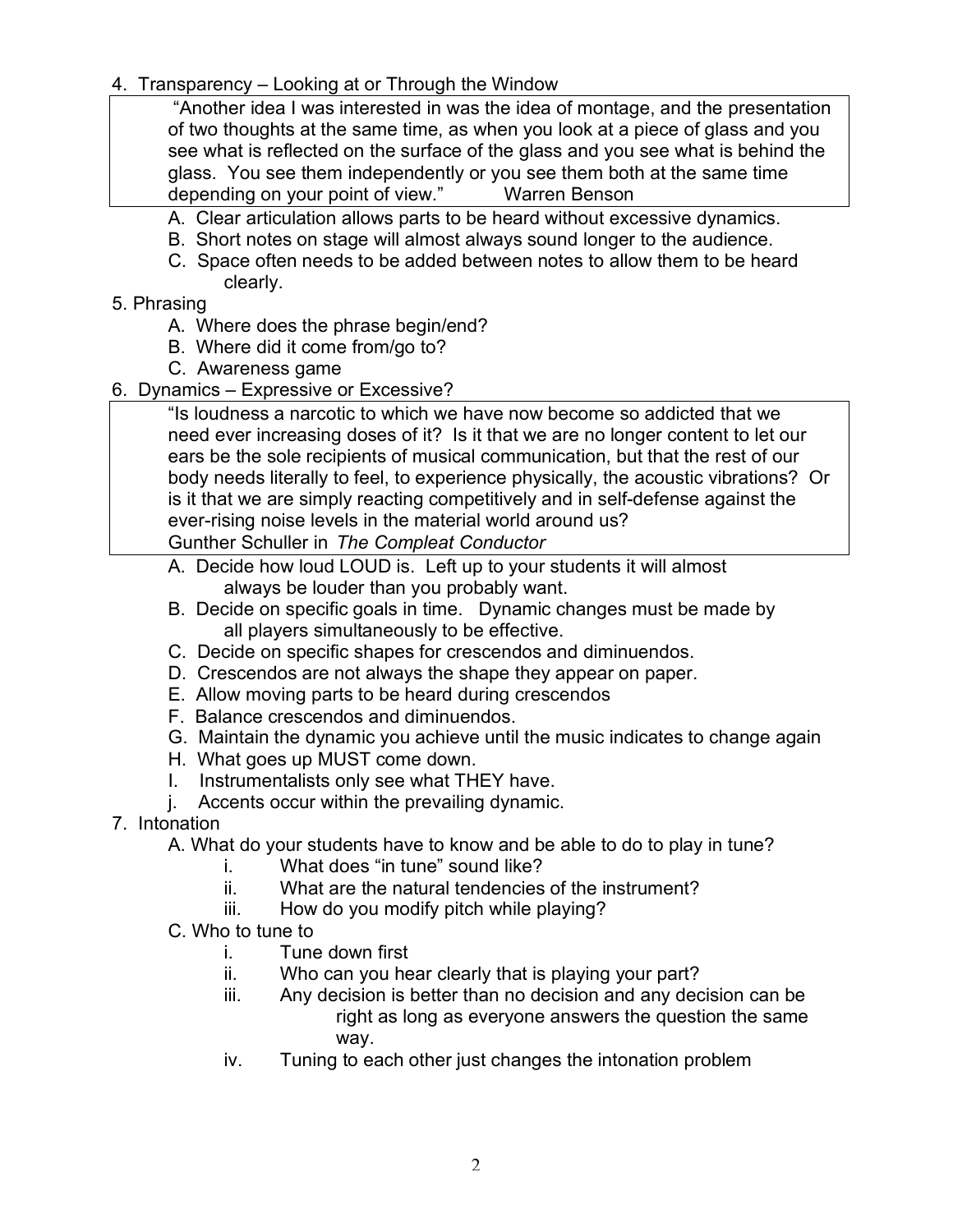4. Transparency – Looking at or Through the Window

"Another idea I was interested in was the idea of montage, and the presentation of two thoughts at the same time, as when you look at a piece of glass and you see what is reflected on the surface of the glass and you see what is behind the glass. You see them independently or you see them both at the same time depending on your point of view." Warren Benson

- A. Clear articulation allows parts to be heard without excessive dynamics.
- B. Short notes on stage will almost always sound longer to the audience.
- C. Space often needs to be added between notes to allow them to be heard clearly.
- 5. Phrasing
	- A. Where does the phrase begin/end?
	- B. Where did it come from/go to?
	- C. Awareness game
- 6. Dynamics Expressive or Excessive?

"Is loudness a narcotic to which we have now become so addicted that we need ever increasing doses of it? Is it that we are no longer content to let our ears be the sole recipients of musical communication, but that the rest of our body needs literally to feel, to experience physically, the acoustic vibrations? Or is it that we are simply reacting competitively and in self-defense against the ever-rising noise levels in the material world around us?

Gunther Schuller in *The Compleat Conductor*

- A. Decide how loud LOUD is. Left up to your students it will almost always be louder than you probably want.
- B. Decide on specific goals in time. Dynamic changes must be made by all players simultaneously to be effective.
- C. Decide on specific shapes for crescendos and diminuendos.
- D. Crescendos are not always the shape they appear on paper.
- E. Allow moving parts to be heard during crescendos
- F. Balance crescendos and diminuendos.
- G. Maintain the dynamic you achieve until the music indicates to change again
- H. What goes up MUST come down.
- I. Instrumentalists only see what THEY have.
- j. Accents occur within the prevailing dynamic.
- 7. Intonation
	- A. What do your students have to know and be able to do to play in tune?
		- i. What does "in tune" sound like?
		- ii. What are the natural tendencies of the instrument?
		- iii. How do you modify pitch while playing?
	- C. Who to tune to
		- i. Tune down first
		- ii. Who can you hear clearly that is playing your part?
		- iii. Any decision is better than no decision and any decision can be right as long as everyone answers the question the same way.
		- iv. Tuning to each other just changes the intonation problem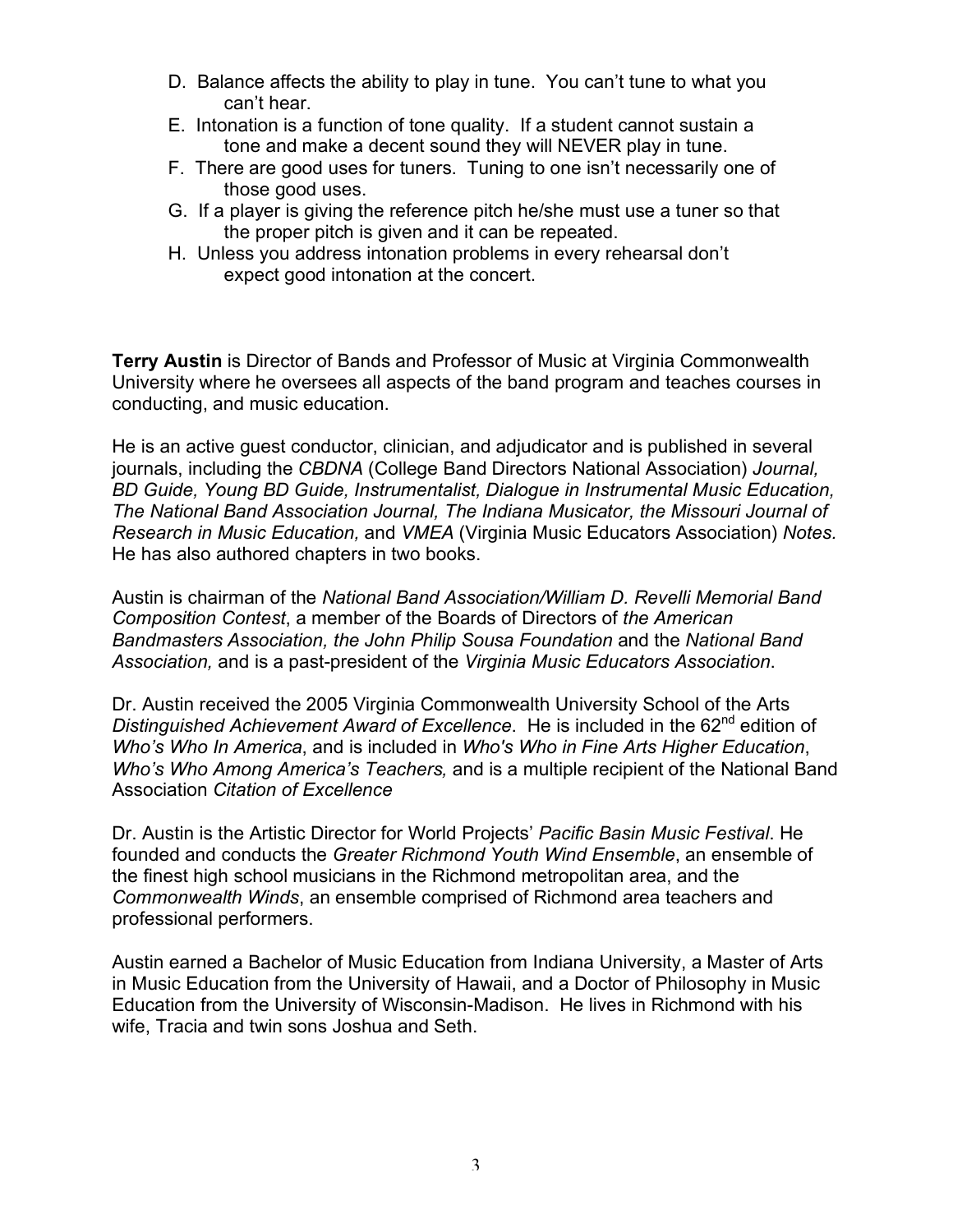- D. Balance affects the ability to play in tune. You can't tune to what you can't hear.
- E. Intonation is a function of tone quality. If a student cannot sustain a tone and make a decent sound they will NEVER play in tune.
- F. There are good uses for tuners. Tuning to one isn't necessarily one of those good uses.
- G. If a player is giving the reference pitch he/she must use a tuner so that the proper pitch is given and it can be repeated.
- H. Unless you address intonation problems in every rehearsal don't expect good intonation at the concert.

**Terry Austin** is Director of Bands and Professor of Music at Virginia Commonwealth University where he oversees all aspects of the band program and teaches courses in conducting, and music education.

He is an active guest conductor, clinician, and adjudicator and is published in several journals, including the *CBDNA* (College Band Directors National Association) *Journal, BD Guide, Young BD Guide, Instrumentalist, Dialogue in Instrumental Music Education, The National Band Association Journal, The Indiana Musicator, the Missouri Journal of Research in Music Education,* and *VMEA* (Virginia Music Educators Association) *Notes.* He has also authored chapters in two books.

Austin is chairman of the *National Band Association/William D. Revelli Memorial Band Composition Contest*, a member of the Boards of Directors of *the American Bandmasters Association, the John Philip Sousa Foundation* and the *National Band Association,* and is a past-president of the *Virginia Music Educators Association*.

Dr. Austin received the 2005 Virginia Commonwealth University School of the Arts *Distinguished Achievement Award of Excellence.* He is included in the 62<sup>nd</sup> edition of *Who's Who In America*, and is included in *Who's Who in Fine Arts Higher Education*, *Who's Who Among America's Teachers,* and is a multiple recipient of the National Band Association *Citation of Excellence*

Dr. Austin is the Artistic Director for World Projects' *Pacific Basin Music Festival*. He founded and conducts the *Greater Richmond Youth Wind Ensemble*, an ensemble of the finest high school musicians in the Richmond metropolitan area, and the *Commonwealth Winds*, an ensemble comprised of Richmond area teachers and professional performers.

Austin earned a Bachelor of Music Education from Indiana University, a Master of Arts in Music Education from the University of Hawaii, and a Doctor of Philosophy in Music Education from the University of Wisconsin-Madison. He lives in Richmond with his wife, Tracia and twin sons Joshua and Seth.